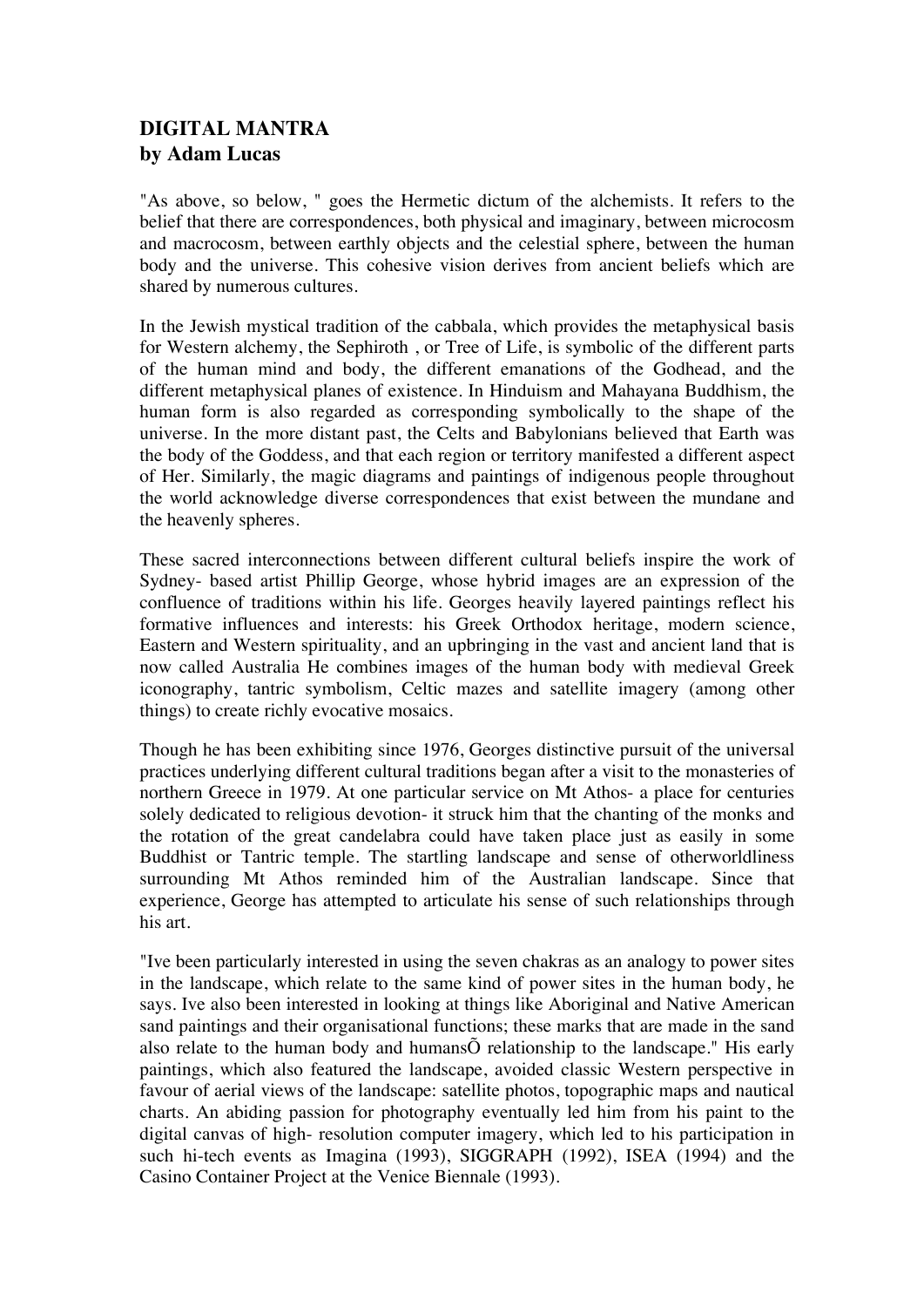## **DIGITAL MANTRA by Adam Lucas**

"As above, so below, " goes the Hermetic dictum of the alchemists. It refers to the belief that there are correspondences, both physical and imaginary, between microcosm and macrocosm, between earthly objects and the celestial sphere, between the human body and the universe. This cohesive vision derives from ancient beliefs which are shared by numerous cultures.

In the Jewish mystical tradition of the cabbala, which provides the metaphysical basis for Western alchemy, the Sephiroth , or Tree of Life, is symbolic of the different parts of the human mind and body, the different emanations of the Godhead, and the different metaphysical planes of existence. In Hinduism and Mahayana Buddhism, the human form is also regarded as corresponding symbolically to the shape of the universe. In the more distant past, the Celts and Babylonians believed that Earth was the body of the Goddess, and that each region or territory manifested a different aspect of Her. Similarly, the magic diagrams and paintings of indigenous people throughout the world acknowledge diverse correspondences that exist between the mundane and the heavenly spheres.

These sacred interconnections between different cultural beliefs inspire the work of Sydney- based artist Phillip George, whose hybrid images are an expression of the confluence of traditions within his life. Georges heavily layered paintings reflect his formative influences and interests: his Greek Orthodox heritage, modern science, Eastern and Western spirituality, and an upbringing in the vast and ancient land that is now called Australia He combines images of the human body with medieval Greek iconography, tantric symbolism, Celtic mazes and satellite imagery (among other things) to create richly evocative mosaics.

Though he has been exhibiting since 1976, Georges distinctive pursuit of the universal practices underlying different cultural traditions began after a visit to the monasteries of northern Greece in 1979. At one particular service on Mt Athos- a place for centuries solely dedicated to religious devotion- it struck him that the chanting of the monks and the rotation of the great candelabra could have taken place just as easily in some Buddhist or Tantric temple. The startling landscape and sense of otherworldliness surrounding Mt Athos reminded him of the Australian landscape. Since that experience, George has attempted to articulate his sense of such relationships through his art.

"Ive been particularly interested in using the seven chakras as an analogy to power sites in the landscape, which relate to the same kind of power sites in the human body, he says. Ive also been interested in looking at things like Aboriginal and Native American sand paintings and their organisational functions; these marks that are made in the sand also relate to the human body and humansÕ relationship to the landscape." His early paintings, which also featured the landscape, avoided classic Western perspective in favour of aerial views of the landscape: satellite photos, topographic maps and nautical charts. An abiding passion for photography eventually led him from his paint to the digital canvas of high- resolution computer imagery, which led to his participation in such hi-tech events as Imagina (1993), SIGGRAPH (1992), ISEA (1994) and the Casino Container Project at the Venice Biennale (1993).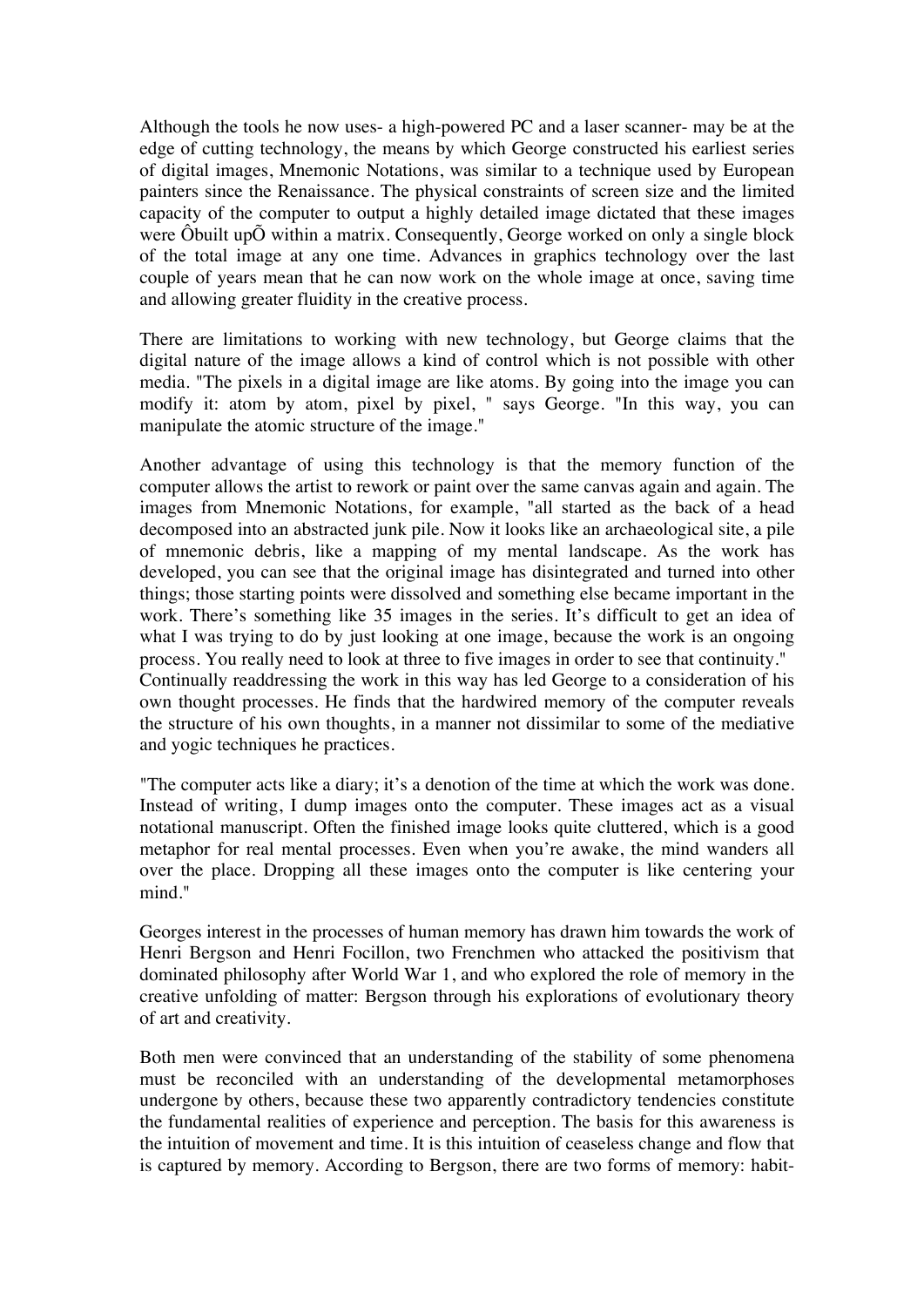Although the tools he now uses- a high-powered PC and a laser scanner- may be at the edge of cutting technology, the means by which George constructed his earliest series of digital images, Mnemonic Notations, was similar to a technique used by European painters since the Renaissance. The physical constraints of screen size and the limited capacity of the computer to output a highly detailed image dictated that these images were Ôbuilt upÕ within a matrix. Consequently, George worked on only a single block of the total image at any one time. Advances in graphics technology over the last couple of years mean that he can now work on the whole image at once, saving time and allowing greater fluidity in the creative process.

There are limitations to working with new technology, but George claims that the digital nature of the image allows a kind of control which is not possible with other media. "The pixels in a digital image are like atoms. By going into the image you can modify it: atom by atom, pixel by pixel, " says George. "In this way, you can manipulate the atomic structure of the image."

Another advantage of using this technology is that the memory function of the computer allows the artist to rework or paint over the same canvas again and again. The images from Mnemonic Notations, for example, "all started as the back of a head decomposed into an abstracted junk pile. Now it looks like an archaeological site, a pile of mnemonic debris, like a mapping of my mental landscape. As the work has developed, you can see that the original image has disintegrated and turned into other things; those starting points were dissolved and something else became important in the work. There's something like 35 images in the series. It's difficult to get an idea of what I was trying to do by just looking at one image, because the work is an ongoing process. You really need to look at three to five images in order to see that continuity." Continually readdressing the work in this way has led George to a consideration of his own thought processes. He finds that the hardwired memory of the computer reveals the structure of his own thoughts, in a manner not dissimilar to some of the mediative and yogic techniques he practices.

"The computer acts like a diary; it's a denotion of the time at which the work was done. Instead of writing, I dump images onto the computer. These images act as a visual notational manuscript. Often the finished image looks quite cluttered, which is a good metaphor for real mental processes. Even when you're awake, the mind wanders all over the place. Dropping all these images onto the computer is like centering your mind."

Georges interest in the processes of human memory has drawn him towards the work of Henri Bergson and Henri Focillon, two Frenchmen who attacked the positivism that dominated philosophy after World War 1, and who explored the role of memory in the creative unfolding of matter: Bergson through his explorations of evolutionary theory of art and creativity.

Both men were convinced that an understanding of the stability of some phenomena must be reconciled with an understanding of the developmental metamorphoses undergone by others, because these two apparently contradictory tendencies constitute the fundamental realities of experience and perception. The basis for this awareness is the intuition of movement and time. It is this intuition of ceaseless change and flow that is captured by memory. According to Bergson, there are two forms of memory: habit